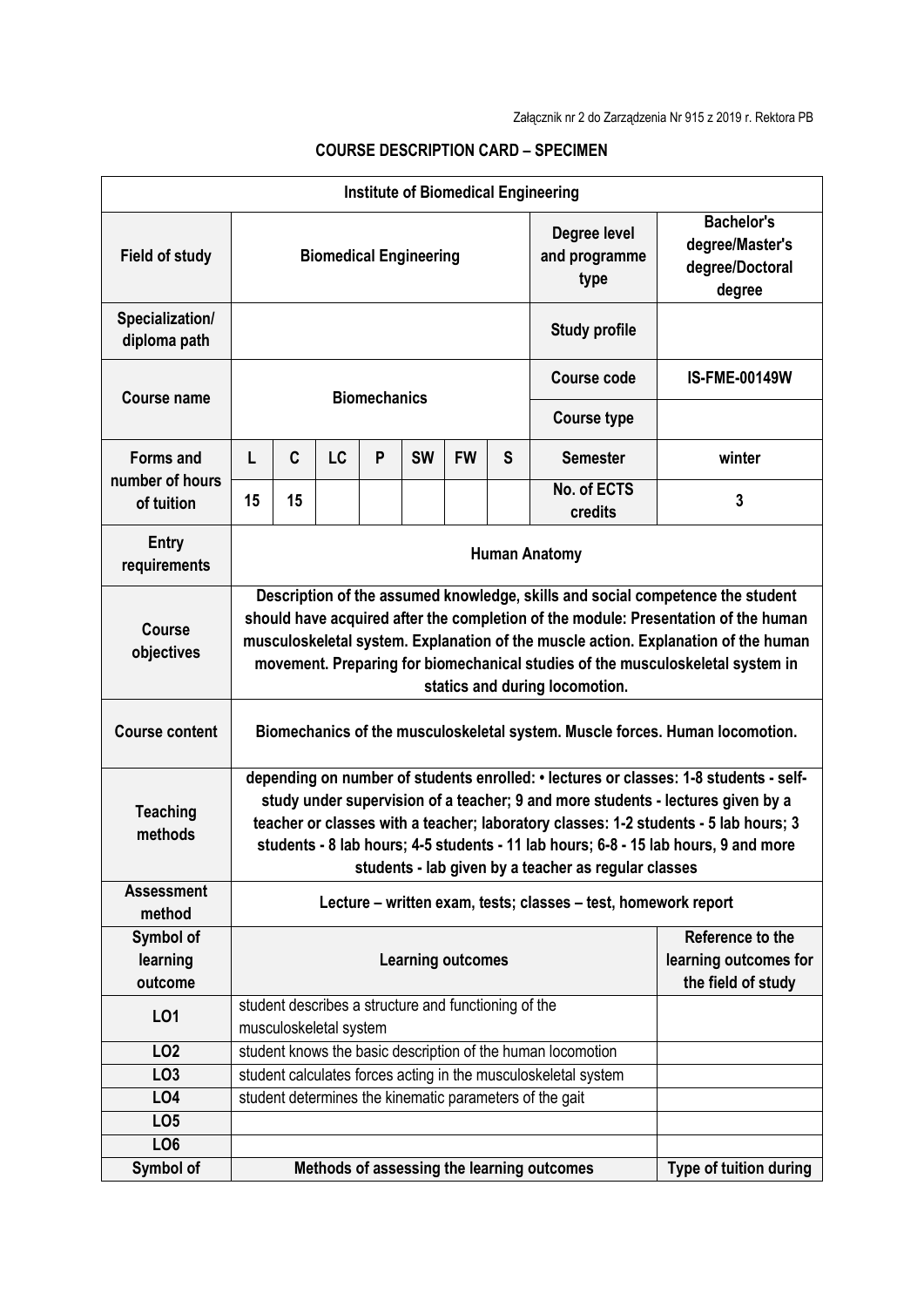| <b>Institute of Biomedical Engineering</b>        |                                                                                                                                                                                                                                                                                                                                                                                                                 |                                                                |           |   |           |           |                                       |                                                                   |                        |  |
|---------------------------------------------------|-----------------------------------------------------------------------------------------------------------------------------------------------------------------------------------------------------------------------------------------------------------------------------------------------------------------------------------------------------------------------------------------------------------------|----------------------------------------------------------------|-----------|---|-----------|-----------|---------------------------------------|-------------------------------------------------------------------|------------------------|--|
| <b>Field of study</b>                             | <b>Biomedical Engineering</b>                                                                                                                                                                                                                                                                                                                                                                                   |                                                                |           |   |           |           | Degree level<br>and programme<br>type | <b>Bachelor's</b><br>degree/Master's<br>degree/Doctoral<br>degree |                        |  |
| Specialization/<br>diploma path                   |                                                                                                                                                                                                                                                                                                                                                                                                                 |                                                                |           |   |           |           |                                       | <b>Study profile</b>                                              |                        |  |
| <b>Course name</b>                                | <b>Biomechanics</b>                                                                                                                                                                                                                                                                                                                                                                                             |                                                                |           |   |           |           |                                       | <b>Course code</b>                                                | <b>IS-FME-00149W</b>   |  |
|                                                   |                                                                                                                                                                                                                                                                                                                                                                                                                 |                                                                |           |   |           |           |                                       | <b>Course type</b>                                                |                        |  |
| <b>Forms and</b><br>number of hours<br>of tuition | L                                                                                                                                                                                                                                                                                                                                                                                                               | C                                                              | <b>LC</b> | P | <b>SW</b> | <b>FW</b> | S                                     | <b>Semester</b>                                                   | winter                 |  |
|                                                   | 15                                                                                                                                                                                                                                                                                                                                                                                                              | 15                                                             |           |   |           |           |                                       | No. of ECTS<br>credits                                            | 3                      |  |
| <b>Entry</b><br>requirements                      | <b>Human Anatomy</b>                                                                                                                                                                                                                                                                                                                                                                                            |                                                                |           |   |           |           |                                       |                                                                   |                        |  |
| <b>Course</b><br>objectives                       | Description of the assumed knowledge, skills and social competence the student<br>should have acquired after the completion of the module: Presentation of the human<br>musculoskeletal system. Explanation of the muscle action. Explanation of the human<br>movement. Preparing for biomechanical studies of the musculoskeletal system in<br>statics and during locomotion.                                  |                                                                |           |   |           |           |                                       |                                                                   |                        |  |
| <b>Course content</b>                             | Biomechanics of the musculoskeletal system. Muscle forces. Human locomotion.                                                                                                                                                                                                                                                                                                                                    |                                                                |           |   |           |           |                                       |                                                                   |                        |  |
| <b>Teaching</b><br>methods                        | depending on number of students enrolled: • lectures or classes: 1-8 students - self-<br>study under supervision of a teacher; 9 and more students - lectures given by a<br>teacher or classes with a teacher; laboratory classes: 1-2 students - 5 lab hours; 3<br>students - 8 lab hours; 4-5 students - 11 lab hours; 6-8 - 15 lab hours, 9 and more<br>students - lab given by a teacher as regular classes |                                                                |           |   |           |           |                                       |                                                                   |                        |  |
| <b>Assessment</b><br>method                       | Lecture - written exam, tests; classes - test, homework report                                                                                                                                                                                                                                                                                                                                                  |                                                                |           |   |           |           |                                       |                                                                   |                        |  |
| Symbol of<br>learning<br>outcome                  | <b>Learning outcomes</b>                                                                                                                                                                                                                                                                                                                                                                                        |                                                                |           |   |           |           |                                       | Reference to the<br>learning outcomes for<br>the field of study   |                        |  |
| LO1                                               | student describes a structure and functioning of the<br>musculoskeletal system                                                                                                                                                                                                                                                                                                                                  |                                                                |           |   |           |           |                                       |                                                                   |                        |  |
| LO <sub>2</sub>                                   |                                                                                                                                                                                                                                                                                                                                                                                                                 |                                                                |           |   |           |           |                                       | student knows the basic description of the human locomotion       |                        |  |
| LO <sub>3</sub>                                   |                                                                                                                                                                                                                                                                                                                                                                                                                 | student calculates forces acting in the musculoskeletal system |           |   |           |           |                                       |                                                                   |                        |  |
| LO <sub>4</sub>                                   |                                                                                                                                                                                                                                                                                                                                                                                                                 |                                                                |           |   |           |           |                                       | student determines the kinematic parameters of the gait           |                        |  |
| LO <sub>5</sub>                                   |                                                                                                                                                                                                                                                                                                                                                                                                                 |                                                                |           |   |           |           |                                       |                                                                   |                        |  |
| LO <sub>6</sub>                                   |                                                                                                                                                                                                                                                                                                                                                                                                                 |                                                                |           |   |           |           |                                       |                                                                   |                        |  |
| Symbol of                                         |                                                                                                                                                                                                                                                                                                                                                                                                                 |                                                                |           |   |           |           |                                       | Methods of assessing the learning outcomes                        | Type of tuition during |  |

## **COURSE DESCRIPTION CARD – SPECIMEN**